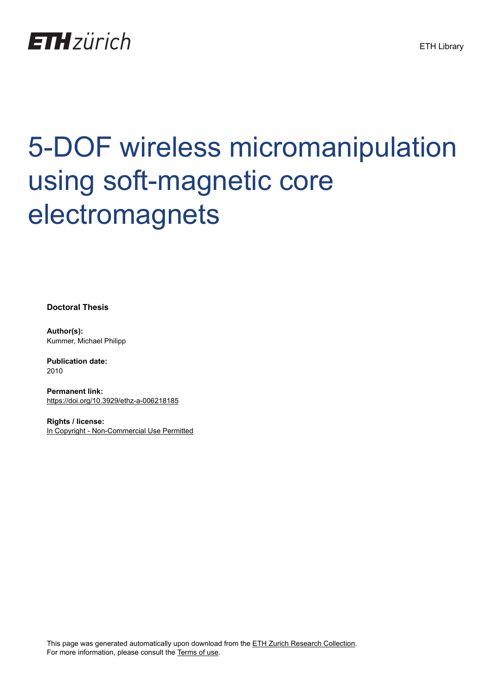

# 5-DOF wireless micromanipulation using soft-magnetic core electromagnets

**Doctoral Thesis**

**Author(s):** Kummer, Michael Philipp

**Publication date:** 2010

**Permanent link:** <https://doi.org/10.3929/ethz-a-006218185>

**Rights / license:** [In Copyright - Non-Commercial Use Permitted](http://rightsstatements.org/page/InC-NC/1.0/)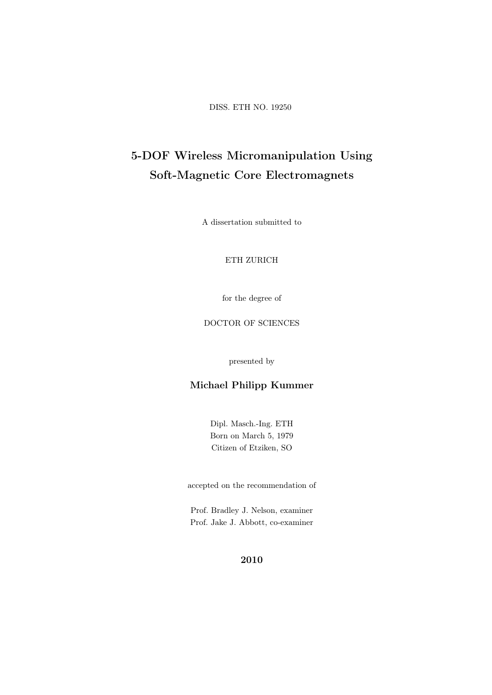DISS. ETH NO. 19250

# 5-DOF Wireless Micromanipulation Using Soft-Magnetic Core Electromagnets

A dissertation submitted to

#### ETH ZURICH

for the degree of

#### DOCTOR OF SCIENCES

presented by

#### Michael Philipp Kummer

Dipl. Masch.-Ing. ETH Born on March 5, 1979 Citizen of Etziken, SO

accepted on the recommendation of

Prof. Bradley J. Nelson, examiner Prof. Jake J. Abbott, co-examiner

#### 2010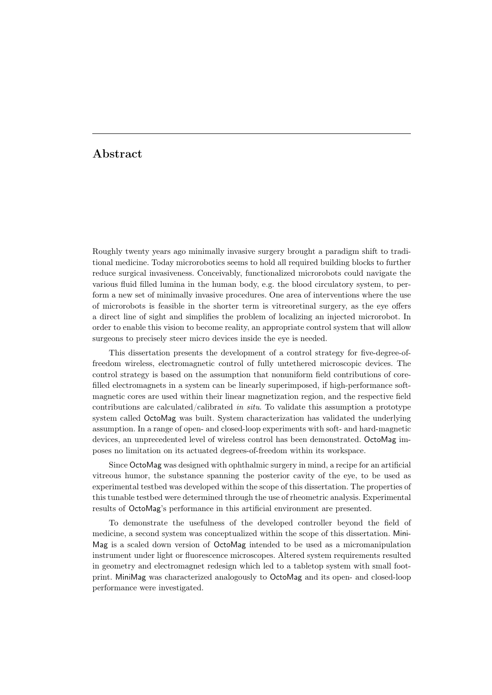### Abstract

Roughly twenty years ago minimally invasive surgery brought a paradigm shift to traditional medicine. Today microrobotics seems to hold all required building blocks to further reduce surgical invasiveness. Conceivably, functionalized microrobots could navigate the various fluid filled lumina in the human body, e.g. the blood circulatory system, to perform a new set of minimally invasive procedures. One area of interventions where the use of microrobots is feasible in the shorter term is vitreoretinal surgery, as the eye offers a direct line of sight and simplifies the problem of localizing an injected microrobot. In order to enable this vision to become reality, an appropriate control system that will allow surgeons to precisely steer micro devices inside the eye is needed.

This dissertation presents the development of a control strategy for five-degree-offreedom wireless, electromagnetic control of fully untethered microscopic devices. The control strategy is based on the assumption that nonuniform field contributions of corefilled electromagnets in a system can be linearly superimposed, if high-performance softmagnetic cores are used within their linear magnetization region, and the respective field contributions are calculated/calibrated in situ. To validate this assumption a prototype system called OctoMag was built. System characterization has validated the underlying assumption. In a range of open- and closed-loop experiments with soft- and hard-magnetic devices, an unprecedented level of wireless control has been demonstrated. OctoMag imposes no limitation on its actuated degrees-of-freedom within its workspace.

Since OctoMag was designed with ophthalmic surgery in mind, a recipe for an artificial vitreous humor, the substance spanning the posterior cavity of the eye, to be used as experimental testbed was developed within the scope of this dissertation. The properties of this tunable testbed were determined through the use of rheometric analysis. Experimental results of OctoMag's performance in this artificial environment are presented.

To demonstrate the usefulness of the developed controller beyond the field of medicine, a second system was conceptualized within the scope of this dissertation. Mini-Mag is a scaled down version of OctoMag intended to be used as a micromanipulation instrument under light or fluorescence microscopes. Altered system requirements resulted in geometry and electromagnet redesign which led to a tabletop system with small footprint. MiniMag was characterized analogously to OctoMag and its open- and closed-loop performance were investigated.